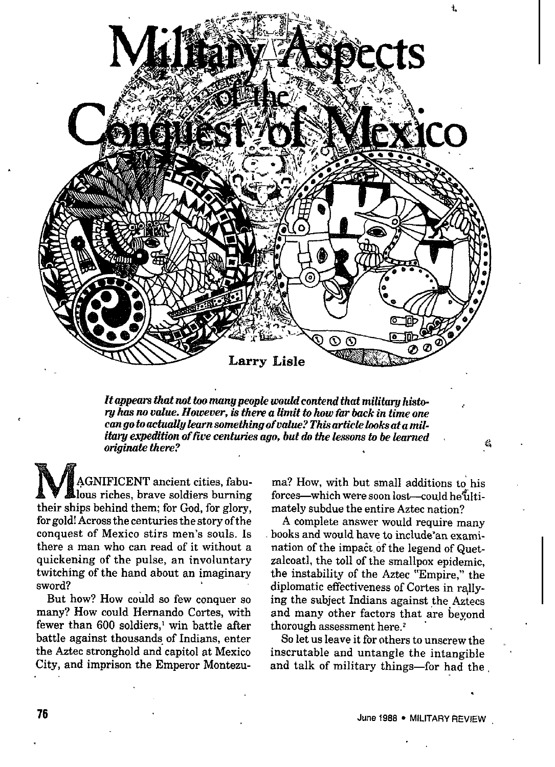

*It appears that not too manypeopie woatdcontend that* militarg*hista- ,. w kas no vatue. However, ia them a limit to how far back in time one*  $c$ an go *to* actually learn something of value? This article looks at a mil*itary expedition of five centuries ago, but do the lessons to be learned on"ginati there?*

MAGNIFICENT ancient cities, fabulous riches, brave soldiers burning their ships behind them; for God, for glory, for gold! Across the centuries the story of the conquest of Mexico stirs men's souls. Is there a man who can read of it without a quickening of the pulse, an involuntary twitching of the hand about an imaginary sword?

But how? How could so few conquer so many? How could Hernando Cortes, with fewer than 600 soldiers,' win battle after battle against thousands of Indians, enter the Astec stronghold and capitol at Mexico City, and imprison the Emperor Montezuma? How, with but small additions to his forces-which were soon lost-could he ultimately subdue the entire Aztec nation?

A complete answer would require many books and would have to include'an examination of the impact of the legend of Quetzalcoatl, the toll of the smallpox epidemic, the instability of the Aztec "Empire," the diplomatic effectiveness of Cortes in rallying the subject Indians against the Aztecs and many other factors that are beyond thorough assessment here.'

So let us leave it for others to unscrew the inscrutable and untangle the intangible and talk of military things—for had the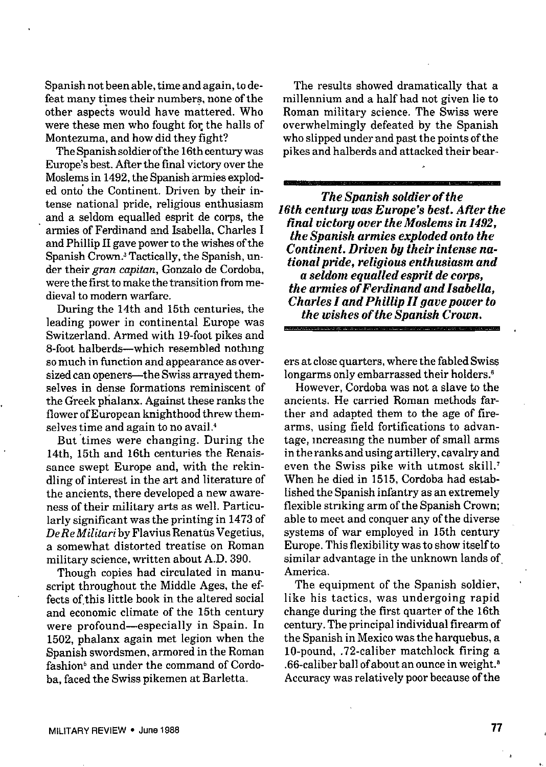Spanish not been able, time and again, todefeat many times their numbers, none of the other aspects would have mattered. Who were these men who fought for the halls of Montezuma, and how did they fight?

The Spanish soldier of the 16th century was Europe's best. After the final victory over the Moslems in 1492, the Spanish armies exploded onto'the Continent. Driven by their intense national pride, religious enthusiasm and a seldom equalled esprit de corps, the armies of Ferdinand and Isabella, Charles I and Phillip II gave power to the wishes of the Spanish Crown.' Tactically, the Spanish, under their gran capitan, Gonzalo de Cordoba, were the first to make the transition from medieval to modern warfare.

During the 14th and 15th centuries, the leading power in continental Europe was Switzerland. Armed with 19-foot pikes and 8-foot halberds-which resembled nothing so much in function and appearance as oversized can openers—the Swiss arrayed themselves in dense formations reminiscent of the Greek plialanx. Against these ranks the flower of European knighthood threw themselves time and again to no avail.'

But 'times were changing. During the 14th, 15th and 16th centuries the Renaissance swept Europe and, with the rekindling of interest in the art and literature of the ancients, there developed a new awareness of their military arts as well. Particularly significant was the printing in 1473 of *Del?e Militari* by Flavius Renattis Vegetius, a somewhat distorted treatise on Roman military science, written about A.D. 390.

Though copies had circulated in manuscript throughout the Middle Ages, the effects of this little book in the altered social and economic climate of the 15th century were profound—especially in Spain. In 1502, phalanx again met legion when the Spanish swordsmen, armored in the Roman fashion' and under the command of Cordoba, faced the Swiss pikemen at Barletta.

The results showed dramatically that a millennium and a half had not given lie to Roman military science. The Swiss were overwhelmingly defeated by the Spanish who slipped under and past the points of the pikes and halberds and attacked their bear-

*The Spanish soldier of the 16th century was Europe's best. Afier the final victory over the Moslems in 1492, the Spanish armies exploded onto the Continent. Driven by their intense national pride, religious enthusiasm and a seldom equalied esprit de corps, the armies of Ferdinand and Isabella, Charles I and Phillip II gave power to the wishes of the Spanish Crown.*

ers at close quarters, where the fabled Swiss longarms only embarrassed their holders.<sup>6</sup>

However, Cordoba was not a slave to the ancients. He carried Roman methods farther and adapted them to the age of firearms, using field fortifications to advantage, mcreasmg the number of small arms in the ranks andusing artillery, cavalry and even the Swiss pike with utmost skill.' when he died in 1515, Cordoba had established the Spanish infantry as an extremely flexible striking arm of the Spanish Crown: able to meet and conquer any of the diverse systems of war employed in 15th century Europe. This flexibility was to show itself to similar advantage in the unknown lands of America.

The equipment of the Spanish soldier, like his tactics, was undergoing rapid change during the first quarter of the 16th century. The principal individual firearm of the Spanish in Mexico was the harquebus, *a* 10-pound, .72-caliber matchlock firing a .66-caliber ball of about an ounce in weight.<sup>8</sup> Accuracy was relatively poor because of the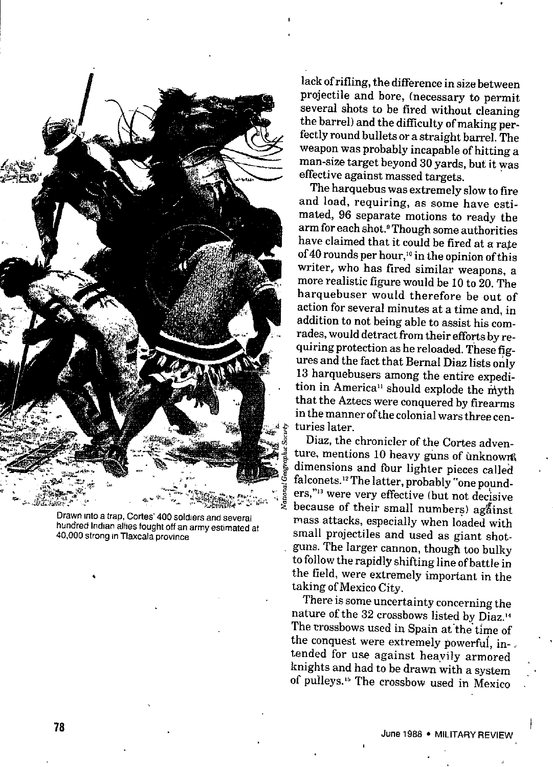

Drawn into a trap, Cortes' 400 soldiers and several hundred Indian allies fought off an army estimated at 40,000 strong in Tlaxcala province

lack of rifling, the difference in size between projectile and bore, (necessary to permit several shots to be fired without cleaning the barrel) and the difficulty of making perfectly round bullets or a straight barrel. The weapon was probably incapable of hitting a man-size target beyond 30 yards, but it was effective against massed targets.

The harquebus was extremely slow to fire and load, requiring, as some have estimated, 96 separate motions to ready the arm for each shot.<sup>9</sup>Though some authorities have claimed that it could be fired at a rate of 40 rounds per hour,<sup>10</sup> in the opinion of this writer, who has fired similar weapons, a more realistic figure would be 10 to 20. The harquebuser would therefore be out of action for several minutes at a time and, in addition to not being able to assist his comrades,would detract from their efforts by requiring protection as he reloaded. These figures and the fact that BernaI Diaz lists *only* 13 harquebusers among the entire expedition in America<sup>11</sup> should explode the myth that the Aztecs were conquered by firearms in themanner ofthe colonial wars three cen turies later.

Diaz, the chronicler of the Cortes adventure, mentions 10 heavy guns of ùnknown dimensions and four lighter pieces called falconets.<sup>12</sup>The latter, probably "one pounders,"<sup>13</sup> were very effective (but not decisive because of their small numbers) against mass attacks, especially when loaded with small projectiles and used as giant shotguns. The larger cannon, though too bulky to follow the rapidly shifting line of battle in the field, were extremely important in the taking of Mexico City.

There is some uncertainty concerning the nature of the 32 crossbows listed by Diaz.<sup>14</sup> The trossbows used in Spain at the time of the conquest were extremely powerful, intended for use against heavily armored knights and had to be drawn with a system of pulleys.'5 The crossbow used in Mexico

.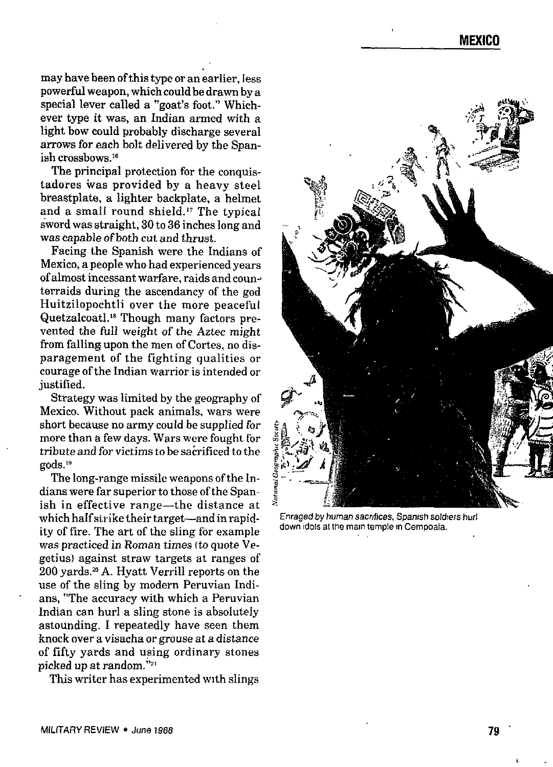may have been ofthis type or an earlier, less powerful weapon, which could be drawn by a special lever called a "goat's foot." Whichever type it was, an Indian armed with a light bow could probably discharge several arrows for each bolt delivered by the Spanish crossbows.<sup>16</sup>

The principal protection for the conquistadors was provided by a heavy steel breastplate, a lighter backplate, a helmet and a small round shield.<sup>17</sup> The typical sword was straight, 30 to 36 inches long and *was* capable of both cut and thrust.

Facing the Spanish were the Indians of Mexico, a people who had experienced years of almost incessant warfare, raids and counterraids during the ascendancy of the god Huitzilopochtli over the more peaceful Quetzalcoatl.'8 Though many factors prevented the full weight of the Aztec might from falling upon the men of Cortes, no disparagement of the fighting qualities or courage of the Indian warrior is intended or justified.

Strategy was limited by the geography of Mexico. Without pack animals, wars were short because no army coutd be suppIied *for* more than a few days. Wars were fought for tribute and for victims to be sacrificed to the gods."

The long-range missile weapons ofthe in. dians were far superior to those of the Spanish in effective range—the distance at which half strike their target—and in rapidity of fire. The art of the sling for example was practiced in Roman times (to quote Vegetius) against straw targets at ranges of 200 yards.'" A. Hyatt Verrill reports on the use of the sling by modern Peruvian Indians, "The accuracy with which a Peruvian Indian can hurl a sling stone is absolutely astounding. I repeatedly have seen them knock over a visacha or grouse at *a distance* of fifty yards and using ordinary stones picked up at random."<sup>21</sup>

This writer has experimented with slings



Enraged by human sacrifices, Spanish soldiers hurl down rdols at the mam temple m Cempoala.

\*.